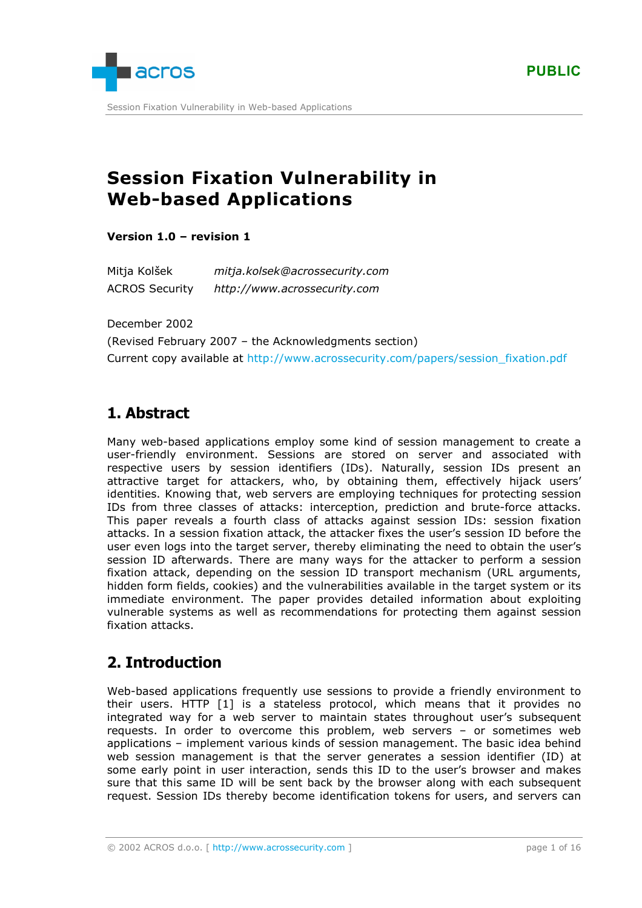

Session Fixation Vulnerability in Web-based Applications

# **Session Fixation Vulnerability in Web-based Applications**

**Version 1.0 – revision 1** 

Mitja Kolšek *mitja.kolsek@acrossecurity.com* ACROS Security *http://www.acrossecurity.com*

December 2002

(Revised February 2007 – the Acknowledgments section) Current copy available at [http://www.acrossecurity.com/papers/session\\_fixation.pdf](http://www.acrossecurity.com/papers/session_fixation.pdf)

# **1. Abstract**

Many web-based applications employ some kind of session management to create a user-friendly environment. Sessions are stored on server and associated with respective users by session identifiers (IDs). Naturally, session IDs present an attractive target for attackers, who, by obtaining them, effectively hijack users' identities. Knowing that, web servers are employing techniques for protecting session IDs from three classes of attacks: interception, prediction and brute-force attacks. This paper reveals a fourth class of attacks against session IDs: session fixation attacks. In a session fixation attack, the attacker fixes the user's session ID before the user even logs into the target server, thereby eliminating the need to obtain the user's session ID afterwards. There are many ways for the attacker to perform a session fixation attack, depending on the session ID transport mechanism (URL arguments, hidden form fields, cookies) and the vulnerabilities available in the target system or its immediate environment. The paper provides detailed information about exploiting vulnerable systems as well as recommendations for protecting them against session fixation attacks.

# **2. Introduction**

Web-based applications frequently use sessions to provide a friendly environment to their users. HTTP [\[1\]](#page-15-0) is a stateless protocol, which means that it provides no integrated way for a web server to maintain states throughout user's subsequent requests. In order to overcome this problem, web servers – or sometimes web applications – implement various kinds of session management. The basic idea behind web session management is that the server generates a session identifier (ID) at some early point in user interaction, sends this ID to the user's browser and makes sure that this same ID will be sent back by the browser along with each subsequent request. Session IDs thereby become identification tokens for users, and servers can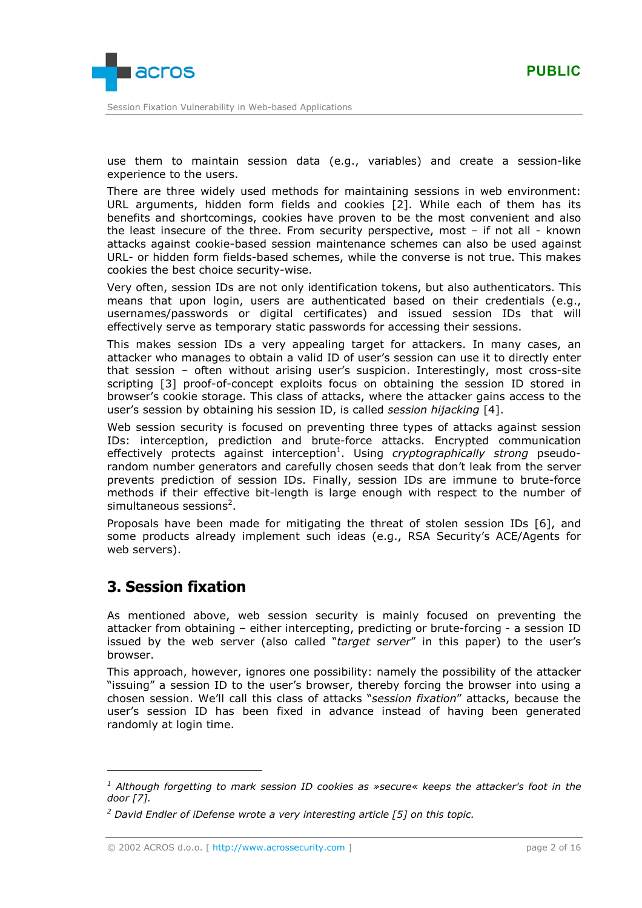

use them to maintain session data (e.g., variables) and create a session-like experience to the users.

There are three widely used methods for maintaining sessions in web environment: URL arguments, hidden form fields and cookies [\[2\].](#page-15-0) While each of them has its benefits and shortcomings, cookies have proven to be the most convenient and also the least insecure of the three. From security perspective, most – if not all - known attacks against cookie-based session maintenance schemes can also be used against URL- or hidden form fields-based schemes, while the converse is not true. This makes cookies the best choice security-wise.

Very often, session IDs are not only identification tokens, but also authenticators. This means that upon login, users are authenticated based on their credentials (e.g., usernames/passwords or digital certificates) and issued session IDs that will effectively serve as temporary static passwords for accessing their sessions.

This makes session IDs a very appealing target for attackers. In many cases, an attacker who manages to obtain a valid ID of user's session can use it to directly enter that session – often without arising user's suspicion. Interestingly, most cross-site scripting [\[3\]](#page-15-0) proof-of-concept exploits focus on obtaining the session ID stored in browser's cookie storage. This class of attacks, where the attacker gains access to the user's session by obtaining his session ID, is called *session hijacking* [\[4\].](#page-15-0)

Web session security is focused on preventing three types of attacks against session IDs: interception, prediction and brute-force attacks. Encrypted communication effectively protects against interception<sup>1</sup>. Using *cryptographically strong* pseudorandom number generators and carefully chosen seeds that don't leak from the server prevents prediction of session IDs. Finally, session IDs are immune to brute-force methods if their effective bit-length is large enough with respect to the number of simultaneous sessions<sup>2</sup>.

Proposals have been made for mitigating the threat of stolen session IDs [\[6\],](#page-15-0) and some products already implement such ideas (e.g., RSA Security's ACE/Agents for web servers).

# **3. Session fixation**

As mentioned above, web session security is mainly focused on preventing the attacker from obtaining – either intercepting, predicting or brute-forcing - a session ID issued by the web server (also called "*target server*" in this paper) to the user's browser.

This approach, however, ignores one possibility: namely the possibility of the attacker "issuing" a session ID to the user's browser, thereby forcing the browser into using a chosen session. We'll call this class of attacks "*session fixation*" attacks, because the user's session ID has been fixed in advance instead of having been generated randomly at login time.

*<sup>1</sup> Although forgetting to mark session ID cookies as »secure« keeps the attacker's foot in the door [\[7\].](#page-15-0)* 

<sup>&</sup>lt;sup>2</sup> David Endler of *iDefense wrote a very interesting article* [\[5\]](#page-15-0) on this topic.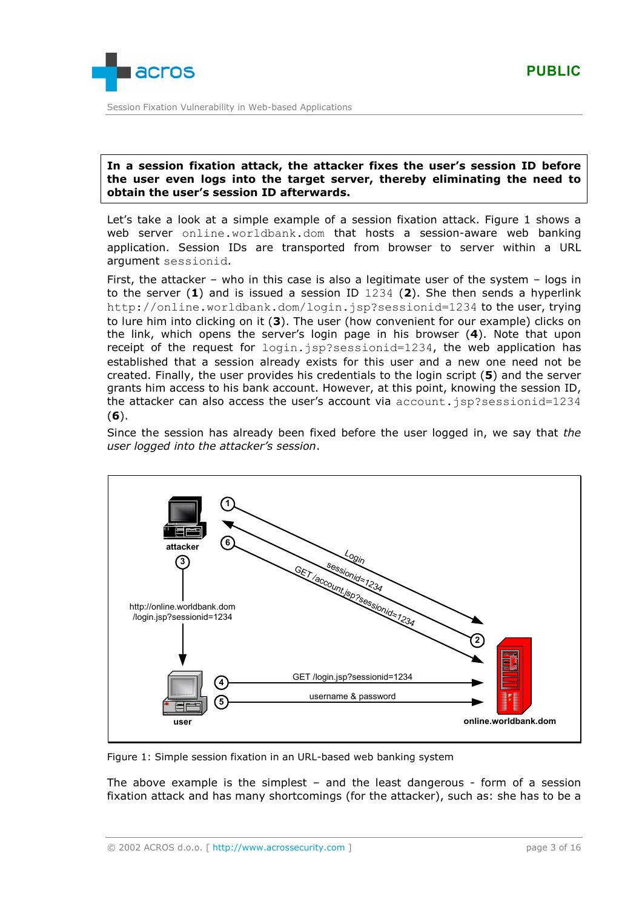

### **In a session fixation attack, the attacker fixes the user's session ID before the user even logs into the target server, thereby eliminating the need to obtain the user's session ID afterwards.**

Let's take a look at a simple example of a session fixation attack. Figure 1 shows a web server online.worldbank.dom that hosts a session-aware web banking application. Session IDs are transported from browser to server within a URL argument sessionid.

First, the attacker – who in this case is also a legitimate user of the system – logs in to the server (**1**) and is issued a session ID 1234 (**2**). She then sends a hyperlink http://online.worldbank.dom/login.jsp?sessionid=1234 to the user, trying to lure him into clicking on it (**3**). The user (how convenient for our example) clicks on the link, which opens the server's login page in his browser (**4**). Note that upon receipt of the request for login.jsp?sessionid=1234, the web application has established that a session already exists for this user and a new one need not be created. Finally, the user provides his credentials to the login script (**5**) and the server grants him access to his bank account. However, at this point, knowing the session ID, the attacker can also access the user's account via account.jsp?sessionid=1234 (**6**).

Since the session has already been fixed before the user logged in, we say that *the user logged into the attacker's session*.



Figure 1: Simple session fixation in an URL-based web banking system

The above example is the simplest  $-$  and the least dangerous  $-$  form of a session fixation attack and has many shortcomings (for the attacker), such as: she has to be a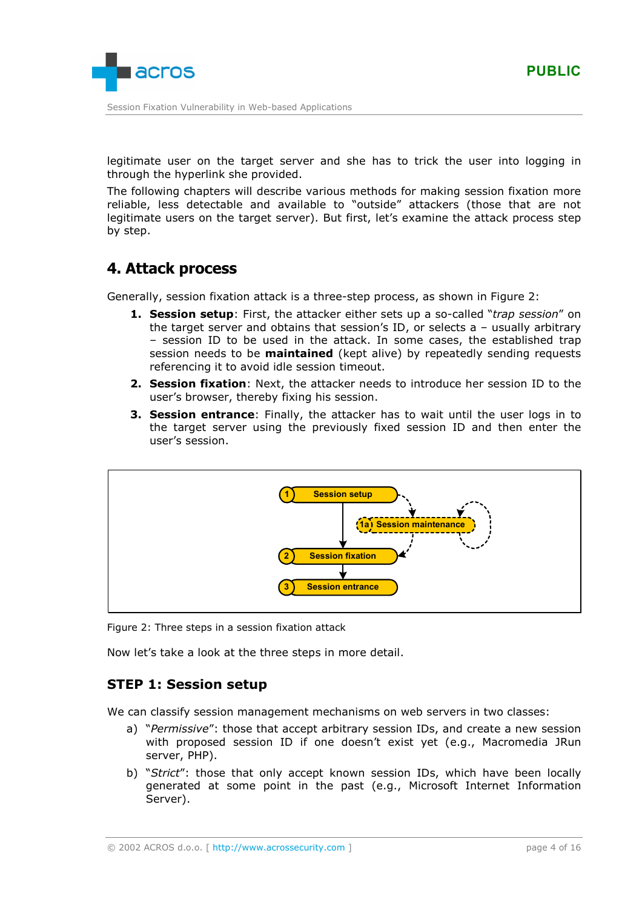

legitimate user on the target server and she has to trick the user into logging in through the hyperlink she provided.

The following chapters will describe various methods for making session fixation more reliable, less detectable and available to "outside" attackers (those that are not legitimate users on the target server). But first, let's examine the attack process step by step.

# **4. Attack process**

Generally, session fixation attack is a three-step process, as shown in Figure 2:

- **1. Session setup**: First, the attacker either sets up a so-called "*trap session*" on the target server and obtains that session's ID, or selects a – usually arbitrary – session ID to be used in the attack. In some cases, the established trap session needs to be **maintained** (kept alive) by repeatedly sending requests referencing it to avoid idle session timeout.
- **2. Session fixation**: Next, the attacker needs to introduce her session ID to the user's browser, thereby fixing his session.
- **3. Session entrance**: Finally, the attacker has to wait until the user logs in to the target server using the previously fixed session ID and then enter the user's session.



Figure 2: Three steps in a session fixation attack

Now let's take a look at the three steps in more detail.

# **STEP 1: Session setup**

We can classify session management mechanisms on web servers in two classes:

- a) "*Permissive*": those that accept arbitrary session IDs, and create a new session with proposed session ID if one doesn't exist yet (e.g., Macromedia JRun server, PHP).
- b) "*Strict*": those that only accept known session IDs, which have been locally generated at some point in the past (e.g., Microsoft Internet Information Server).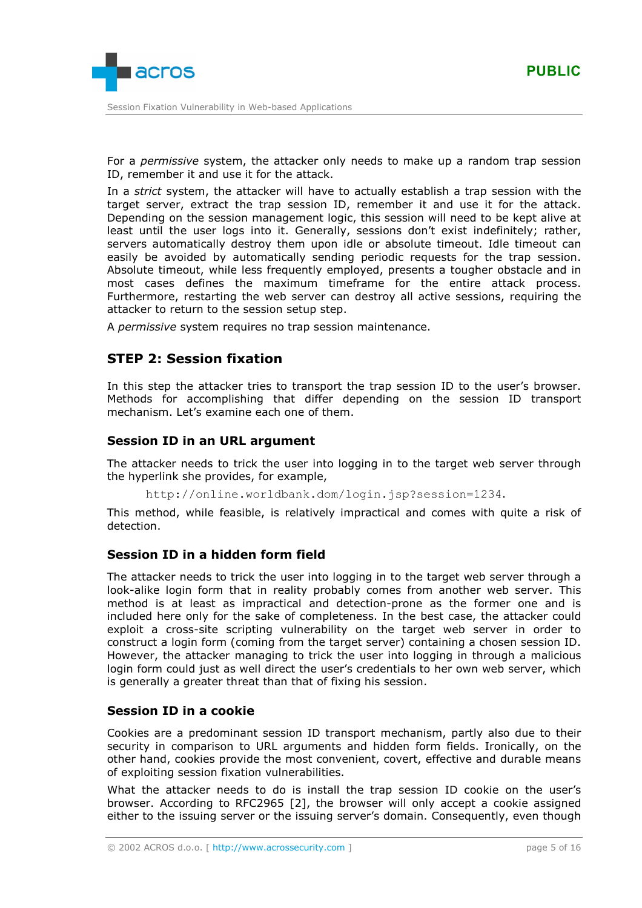

For a *permissive* system, the attacker only needs to make up a random trap session ID, remember it and use it for the attack.

In a *strict* system, the attacker will have to actually establish a trap session with the target server, extract the trap session ID, remember it and use it for the attack. Depending on the session management logic, this session will need to be kept alive at least until the user logs into it. Generally, sessions don't exist indefinitely; rather, servers automatically destroy them upon idle or absolute timeout. Idle timeout can easily be avoided by automatically sending periodic requests for the trap session. Absolute timeout, while less frequently employed, presents a tougher obstacle and in most cases defines the maximum timeframe for the entire attack process. Furthermore, restarting the web server can destroy all active sessions, requiring the attacker to return to the session setup step.

A *permissive* system requires no trap session maintenance.

## **STEP 2: Session fixation**

In this step the attacker tries to transport the trap session ID to the user's browser. Methods for accomplishing that differ depending on the session ID transport mechanism. Let's examine each one of them.

## **Session ID in an URL argument**

The attacker needs to trick the user into logging in to the target web server through the hyperlink she provides, for example,

http://online.worldbank.dom/login.jsp?session=1234.

This method, while feasible, is relatively impractical and comes with quite a risk of detection.

## **Session ID in a hidden form field**

The attacker needs to trick the user into logging in to the target web server through a look-alike login form that in reality probably comes from another web server. This method is at least as impractical and detection-prone as the former one and is included here only for the sake of completeness. In the best case, the attacker could exploit a cross-site scripting vulnerability on the target web server in order to construct a login form (coming from the target server) containing a chosen session ID. However, the attacker managing to trick the user into logging in through a malicious login form could just as well direct the user's credentials to her own web server, which is generally a greater threat than that of fixing his session.

## **Session ID in a cookie**

Cookies are a predominant session ID transport mechanism, partly also due to their security in comparison to URL arguments and hidden form fields. Ironically, on the other hand, cookies provide the most convenient, covert, effective and durable means of exploiting session fixation vulnerabilities.

What the attacker needs to do is install the trap session ID cookie on the user's browser. According to RFC2965 [\[2\],](#page-15-0) the browser will only accept a cookie assigned either to the issuing server or the issuing server's domain. Consequently, even though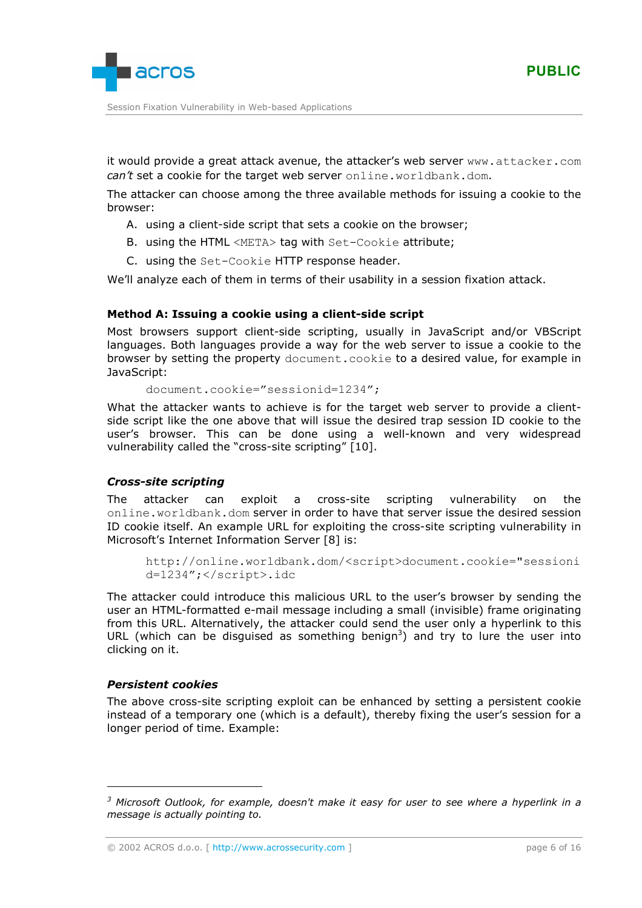

it would provide a great attack avenue, the attacker's web server www.attacker.com *can't* set a cookie for the target web server online.worldbank.dom.

The attacker can choose among the three available methods for issuing a cookie to the browser:

- A. using a client-side script that sets a cookie on the browser;
- B. using the HTML <META> tag with Set-Cookie attribute;
- C. using the Set-Cookie HTTP response header.

We'll analyze each of them in terms of their usability in a session fixation attack.

### **Method A: Issuing a cookie using a client-side script**

Most browsers support client-side scripting, usually in JavaScript and/or VBScript languages. Both languages provide a way for the web server to issue a cookie to the browser by setting the property document.cookie to a desired value, for example in JavaScript:

document.cookie="sessionid=1234";

What the attacker wants to achieve is for the target web server to provide a clientside script like the one above that will issue the desired trap session ID cookie to the user's browser. This can be done using a well-known and very widespread vulnerability called the "cross-site scripting" [\[10\].](#page-15-0)

### *Cross-site scripting*

The attacker can exploit a cross-site scripting vulnerability on the online.worldbank.dom server in order to have that server issue the desired session ID cookie itself. An example URL for exploiting the cross-site scripting vulnerability in Microsoft's Internet Information Server [\[8\]](#page-15-0) is:

```
http://online.worldbank.dom/<script>document.cookie="sessioni
d=1234";</script>.idc
```
The attacker could introduce this malicious URL to the user's browser by sending the user an HTML-formatted e-mail message including a small (invisible) frame originating from this URL. Alternatively, the attacker could send the user only a hyperlink to this URL (which can be disguised as something benign<sup>3</sup>) and try to lure the user into clicking on it.

### *Persistent cookies*

The above cross-site scripting exploit can be enhanced by setting a persistent cookie instead of a temporary one (which is a default), thereby fixing the user's session for a longer period of time. Example:

*<sup>3</sup> Microsoft Outlook, for example, doesn't make it easy for user to see where a hyperlink in a message is actually pointing to.* 

<sup>©</sup> 2002 ACROS d.o.o. [ [http://www.acrossecurity.com](http://www.acrossecurity.com/) ] page 6 of 16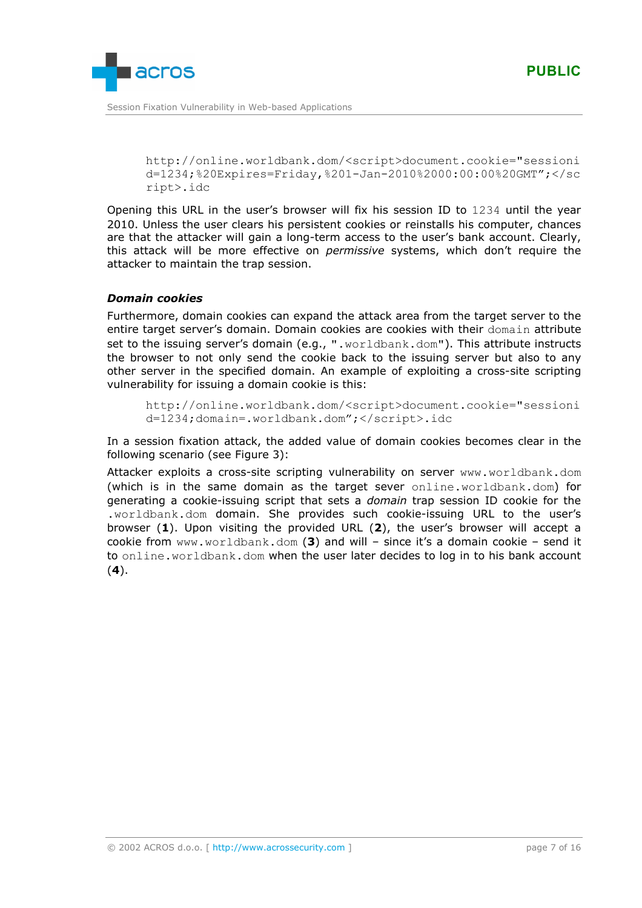

http://online.worldbank.dom/<script>document.cookie="sessioni d=1234;%20Expires=Friday,%201-Jan-2010%2000:00:00%20GMT";</sc ript>.idc

Opening this URL in the user's browser will fix his session ID to 1234 until the year 2010. Unless the user clears his persistent cookies or reinstalls his computer, chances are that the attacker will gain a long-term access to the user's bank account. Clearly, this attack will be more effective on *permissive* systems, which don't require the attacker to maintain the trap session.

## *Domain cookies*

Furthermore, domain cookies can expand the attack area from the target server to the entire target server's domain. Domain cookies are cookies with their domain attribute set to the issuing server's domain (e.g., ".worldbank.dom"). This attribute instructs the browser to not only send the cookie back to the issuing server but also to any other server in the specified domain. An example of exploiting a cross-site scripting vulnerability for issuing a domain cookie is this:

```
http://online.worldbank.dom/<script>document.cookie="sessioni
d=1234;domain=.worldbank.dom";</script>.idc
```
In a session fixation attack, the added value of domain cookies becomes clear in the following scenario (see [Figure 3\)](#page-7-0):

Attacker exploits a cross-site scripting vulnerability on server www.worldbank.dom (which is in the same domain as the target sever online.worldbank.dom) for generating a cookie-issuing script that sets a *domain* trap session ID cookie for the .worldbank.dom domain. She provides such cookie-issuing URL to the user's browser (**1**). Upon visiting the provided URL (**2**), the user's browser will accept a cookie from www.worldbank.dom (**3**) and will – since it's a domain cookie – send it to online.worldbank.dom when the user later decides to log in to his bank account (**4**).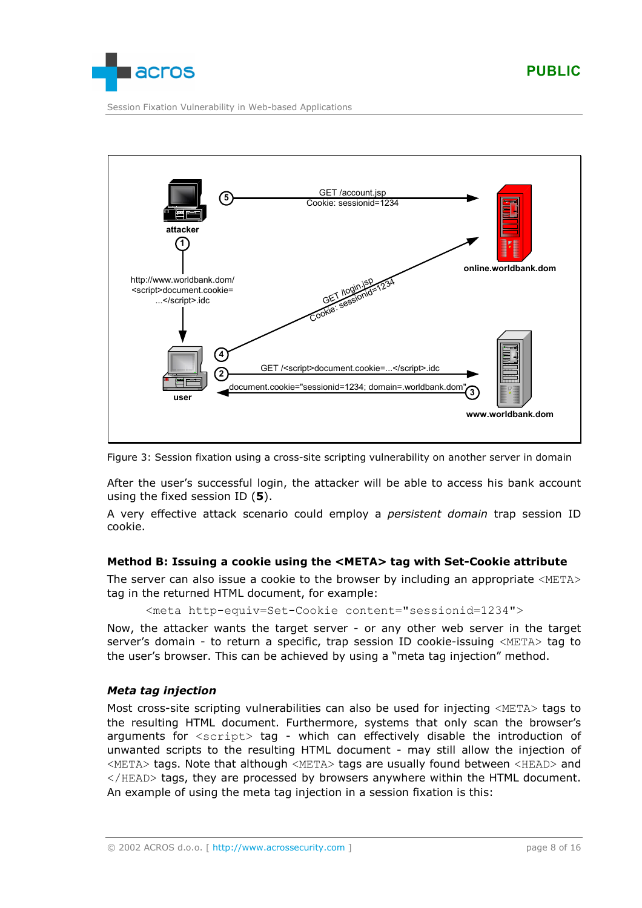<span id="page-7-0"></span>

Session Fixation Vulnerability in Web-based Applications



Figure 3: Session fixation using a cross-site scripting vulnerability on another server in domain

After the user's successful login, the attacker will be able to access his bank account using the fixed session ID (**5**).

A very effective attack scenario could employ a *persistent domain* trap session ID cookie.

### **Method B: Issuing a cookie using the <META> tag with Set-Cookie attribute**

The server can also issue a cookie to the browser by including an appropriate <META> tag in the returned HTML document, for example:

<meta http-equiv=Set-Cookie content="sessionid=1234">

Now, the attacker wants the target server - or any other web server in the target server's domain - to return a specific, trap session ID cookie-issuing <META> tag to the user's browser. This can be achieved by using a "meta tag injection" method.

### *Meta tag injection*

Most cross-site scripting vulnerabilities can also be used for injecting <META> tags to the resulting HTML document. Furthermore, systems that only scan the browser's arguments for  $\langle \text{script} \rangle$  tag - which can effectively disable the introduction of unwanted scripts to the resulting HTML document - may still allow the injection of <META> tags. Note that although <META> tags are usually found between <HEAD> and </HEAD> tags, they are processed by browsers anywhere within the HTML document. An example of using the meta tag injection in a session fixation is this: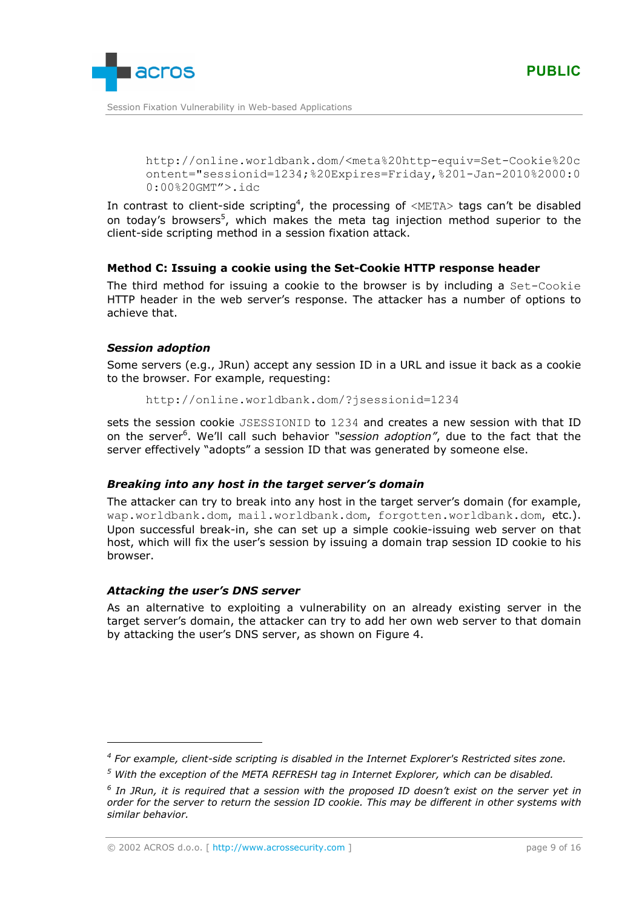

http://online.worldbank.dom/<meta%20http-equiv=Set-Cookie%20c ontent="sessionid=1234;%20Expires=Friday,%201-Jan-2010%2000:0 0:00%20GMT">.idc

In contrast to client-side scripting<sup>4</sup>, the processing of <META> tags can't be disabled on today's browsers<sup>5</sup>, which makes the meta tag injection method superior to the client-side scripting method in a session fixation attack.

## **Method C: Issuing a cookie using the Set-Cookie HTTP response header**

The third method for issuing a cookie to the browser is by including a Set-Cookie HTTP header in the web server's response. The attacker has a number of options to achieve that.

### *Session adoption*

Some servers (e.g., JRun) accept any session ID in a URL and issue it back as a cookie to the browser. For example, requesting:

http://online.worldbank.dom/?jsessionid=1234

sets the session cookie JSESSIONID to 1234 and creates a new session with that ID on the server<sup>6</sup>. We'll call such behavior "session adoption", due to the fact that the server effectively "adopts" a session ID that was generated by someone else.

## *Breaking into any host in the target server's domain*

The attacker can try to break into any host in the target server's domain (for example, wap.worldbank.dom, mail.worldbank.dom, forgotten.worldbank.dom, etc.). Upon successful break-in, she can set up a simple cookie-issuing web server on that host, which will fix the user's session by issuing a domain trap session ID cookie to his browser.

### *Attacking the user's DNS server*

As an alternative to exploiting a vulnerability on an already existing server in the target server's domain, the attacker can try to add her own web server to that domain by attacking the user's DNS server, as shown on [Figure 4.](#page-9-0)

*<sup>4</sup> For example, client-side scripting is disabled in the Internet Explorer's Restricted sites zone.* 

*<sup>5</sup> With the exception of the META REFRESH tag in Internet Explorer, which can be disabled.* 

*<sup>6</sup> In JRun, it is required that a session with the proposed ID doesn't exist on the server yet in order for the server to return the session ID cookie. This may be different in other systems with similar behavior.* 

<sup>©</sup> 2002 ACROS d.o.o. [ [http://www.acrossecurity.com](http://www.acrossecurity.com/) ] page 9 of 16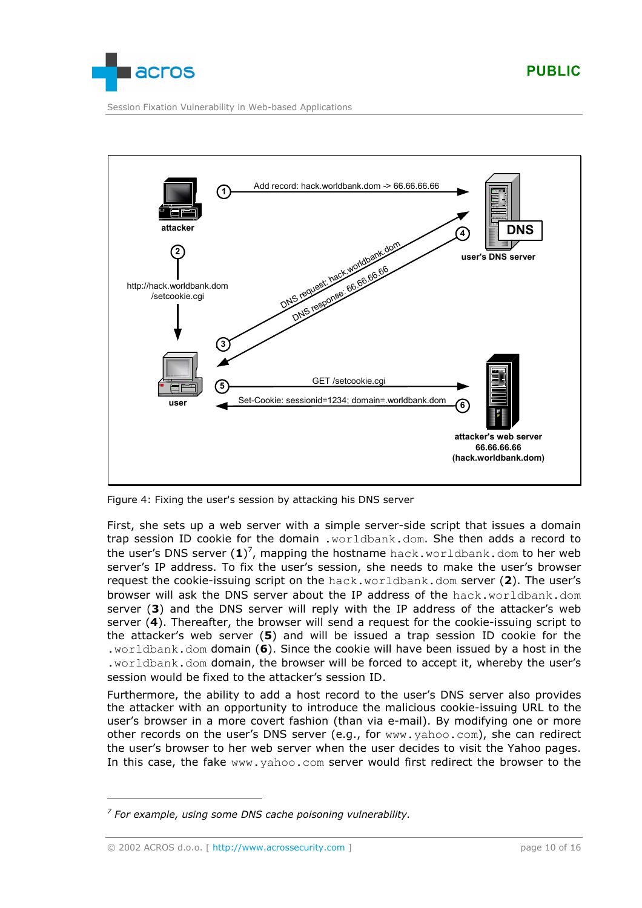<span id="page-9-0"></span>

Session Fixation Vulnerability in Web-based Applications



Figure 4: Fixing the user's session by attacking his DNS server

First, she sets up a web server with a simple server-side script that issues a domain trap session ID cookie for the domain .worldbank.dom. She then adds a record to the user's DNS server (1)<sup>7</sup>, mapping the hostname hack.worldbank.dom to her web server's IP address. To fix the user's session, she needs to make the user's browser request the cookie-issuing script on the hack.worldbank.dom server (**2**). The user's browser will ask the DNS server about the IP address of the hack.worldbank.dom server (**3**) and the DNS server will reply with the IP address of the attacker's web server (**4**). Thereafter, the browser will send a request for the cookie-issuing script to the attacker's web server (**5**) and will be issued a trap session ID cookie for the .worldbank.dom domain (**6**). Since the cookie will have been issued by a host in the .worldbank.dom domain, the browser will be forced to accept it, whereby the user's session would be fixed to the attacker's session ID.

Furthermore, the ability to add a host record to the user's DNS server also provides the attacker with an opportunity to introduce the malicious cookie-issuing URL to the user's browser in a more covert fashion (than via e-mail). By modifying one or more other records on the user's DNS server (e.g., for www.yahoo.com), she can redirect the user's browser to her web server when the user decides to visit the Yahoo pages. In this case, the fake www.yahoo.com server would first redirect the browser to the

*<sup>7</sup> For example, using some DNS cache poisoning vulnerability.*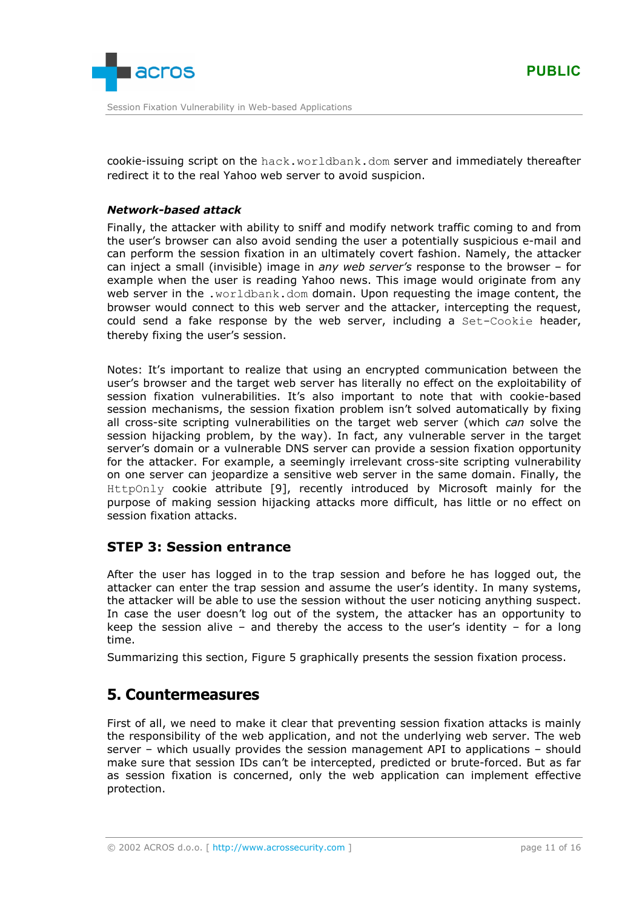

cookie-issuing script on the hack.worldbank.dom server and immediately thereafter redirect it to the real Yahoo web server to avoid suspicion.

### *Network-based attack*

Finally, the attacker with ability to sniff and modify network traffic coming to and from the user's browser can also avoid sending the user a potentially suspicious e-mail and can perform the session fixation in an ultimately covert fashion. Namely, the attacker can inject a small (invisible) image in *any web server's* response to the browser – for example when the user is reading Yahoo news. This image would originate from any web server in the .worldbank.dom domain. Upon requesting the image content, the browser would connect to this web server and the attacker, intercepting the request, could send a fake response by the web server, including a Set-Cookie header, thereby fixing the user's session.

Notes: It's important to realize that using an encrypted communication between the user's browser and the target web server has literally no effect on the exploitability of session fixation vulnerabilities. It's also important to note that with cookie-based session mechanisms, the session fixation problem isn't solved automatically by fixing all cross-site scripting vulnerabilities on the target web server (which *can* solve the session hijacking problem, by the way). In fact, any vulnerable server in the target server's domain or a vulnerable DNS server can provide a session fixation opportunity for the attacker. For example, a seemingly irrelevant cross-site scripting vulnerability on one server can jeopardize a sensitive web server in the same domain. Finally, the HttpOnly cookie attribute [\[9\],](#page-15-0) recently introduced by Microsoft mainly for the purpose of making session hijacking attacks more difficult, has little or no effect on session fixation attacks.

## **STEP 3: Session entrance**

After the user has logged in to the trap session and before he has logged out, the attacker can enter the trap session and assume the user's identity. In many systems, the attacker will be able to use the session without the user noticing anything suspect. In case the user doesn't log out of the system, the attacker has an opportunity to keep the session alive – and thereby the access to the user's identity – for a long time.

Summarizing this section, [Figure 5](#page-12-0) graphically presents the session fixation process.

# **5. Countermeasures**

First of all, we need to make it clear that preventing session fixation attacks is mainly the responsibility of the web application, and not the underlying web server. The web server – which usually provides the session management API to applications – should make sure that session IDs can't be intercepted, predicted or brute-forced. But as far as session fixation is concerned, only the web application can implement effective protection.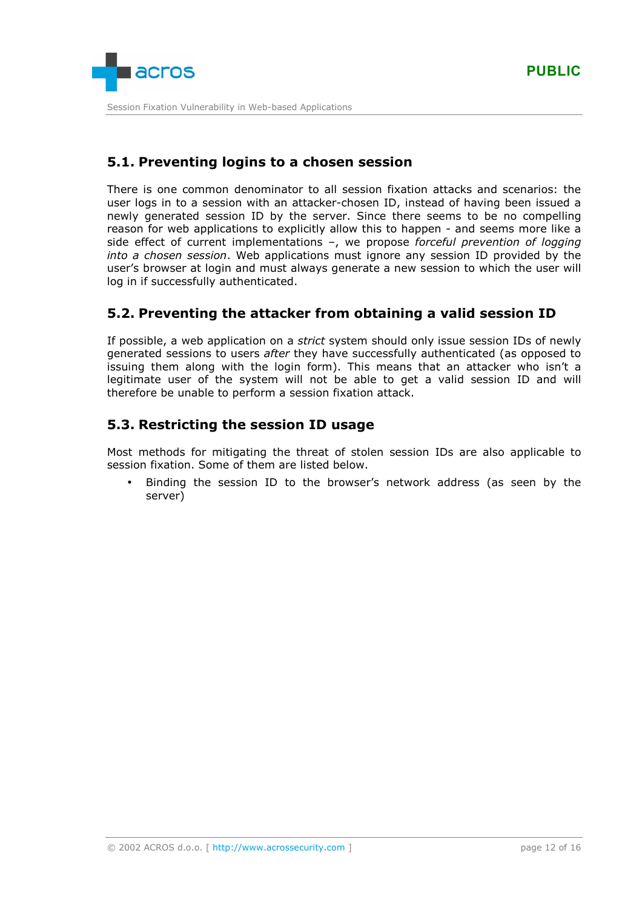

# **5.1. Preventing logins to a chosen session**

There is one common denominator to all session fixation attacks and scenarios: the user logs in to a session with an attacker-chosen ID, instead of having been issued a newly generated session ID by the server. Since there seems to be no compelling reason for web applications to explicitly allow this to happen - and seems more like a side effect of current implementations –, we propose *forceful prevention of logging into a chosen session*. Web applications must ignore any session ID provided by the user's browser at login and must always generate a new session to which the user will log in if successfully authenticated.

# **5.2. Preventing the attacker from obtaining a valid session ID**

If possible, a web application on a *strict* system should only issue session IDs of newly generated sessions to users *after* they have successfully authenticated (as opposed to issuing them along with the login form). This means that an attacker who isn't a legitimate user of the system will not be able to get a valid session ID and will therefore be unable to perform a session fixation attack.

# **5.3. Restricting the session ID usage**

Most methods for mitigating the threat of stolen session IDs are also applicable to session fixation. Some of them are listed below.

• Binding the session ID to the browser's network address (as seen by the server)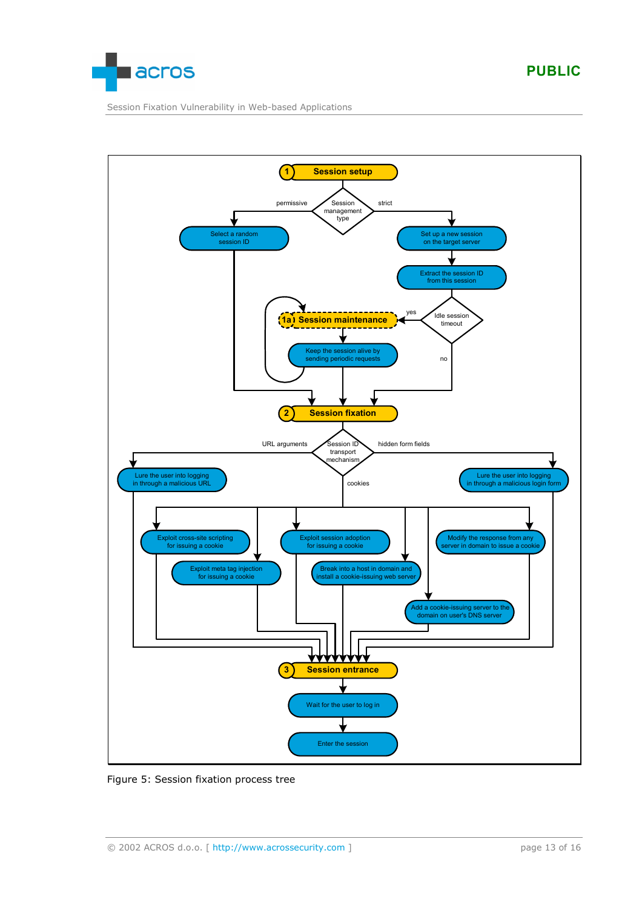<span id="page-12-0"></span>

Session Fixation Vulnerability in Web-based Applications



#### Figure 5: Session fixation process tree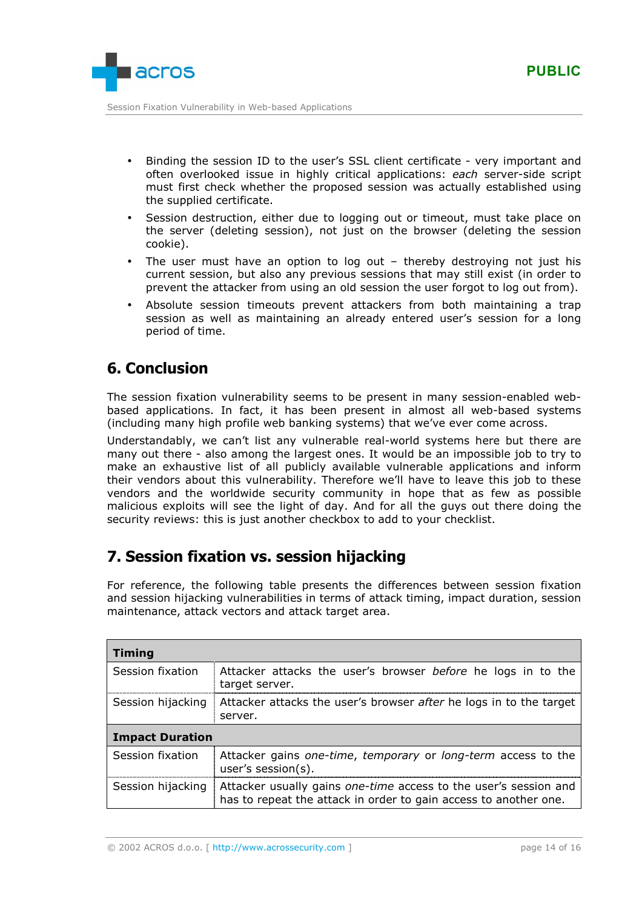

- Binding the session ID to the user's SSL client certificate very important and often overlooked issue in highly critical applications: *each* server-side script must first check whether the proposed session was actually established using the supplied certificate.
- Session destruction, either due to logging out or timeout, must take place on the server (deleting session), not just on the browser (deleting the session cookie).
- The user must have an option to log out  $-$  thereby destroying not just his current session, but also any previous sessions that may still exist (in order to prevent the attacker from using an old session the user forgot to log out from).
- Absolute session timeouts prevent attackers from both maintaining a trap session as well as maintaining an already entered user's session for a long period of time.

# **6. Conclusion**

The session fixation vulnerability seems to be present in many session-enabled webbased applications. In fact, it has been present in almost all web-based systems (including many high profile web banking systems) that we've ever come across.

Understandably, we can't list any vulnerable real-world systems here but there are many out there - also among the largest ones. It would be an impossible job to try to make an exhaustive list of all publicly available vulnerable applications and inform their vendors about this vulnerability. Therefore we'll have to leave this job to these vendors and the worldwide security community in hope that as few as possible malicious exploits will see the light of day. And for all the guys out there doing the security reviews: this is just another checkbox to add to your checklist.

# **7. Session fixation vs. session hijacking**

For reference, the following table presents the differences between session fixation and session hijacking vulnerabilities in terms of attack timing, impact duration, session maintenance, attack vectors and attack target area.

| <b>Timing</b>          |                                                                                                                                      |  |
|------------------------|--------------------------------------------------------------------------------------------------------------------------------------|--|
| Session fixation       | Attacker attacks the user's browser before he logs in to the<br>target server.                                                       |  |
| Session hijacking      | Attacker attacks the user's browser after he logs in to the target<br>server.                                                        |  |
| <b>Impact Duration</b> |                                                                                                                                      |  |
| Session fixation       | Attacker gains one-time, temporary or long-term access to the<br>user's session $(s)$ .                                              |  |
| Session hijacking      | Attacker usually gains one-time access to the user's session and<br>has to repeat the attack in order to gain access to another one. |  |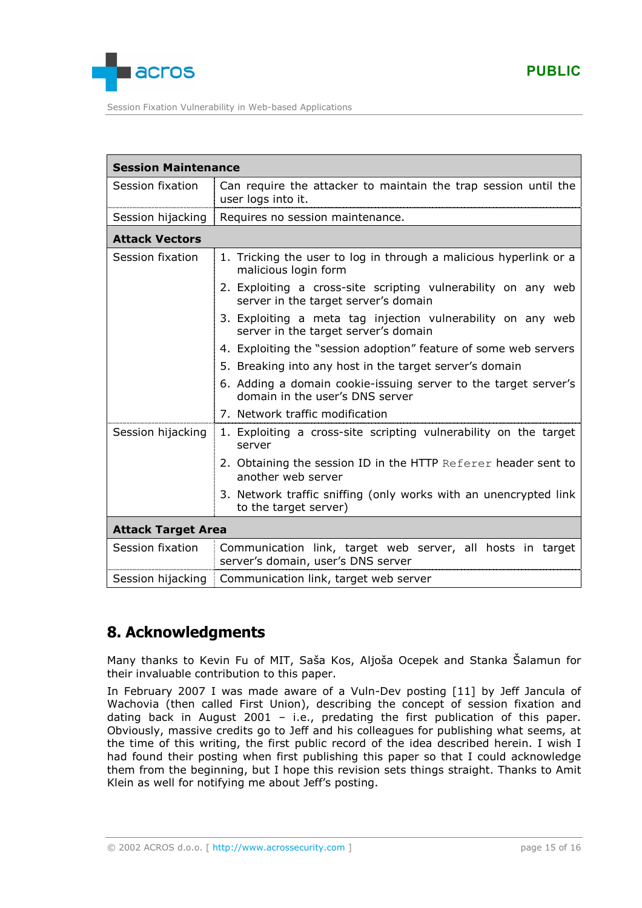

| <b>Session Maintenance</b> |                                                                                                       |
|----------------------------|-------------------------------------------------------------------------------------------------------|
| Session fixation           | Can require the attacker to maintain the trap session until the<br>user logs into it.                 |
| Session hijacking          | Requires no session maintenance.                                                                      |
| <b>Attack Vectors</b>      |                                                                                                       |
| Session fixation           | 1. Tricking the user to log in through a malicious hyperlink or a<br>malicious login form             |
|                            | 2. Exploiting a cross-site scripting vulnerability on any web<br>server in the target server's domain |
|                            | 3. Exploiting a meta tag injection vulnerability on any web<br>server in the target server's domain   |
|                            | 4. Exploiting the "session adoption" feature of some web servers                                      |
|                            | 5. Breaking into any host in the target server's domain                                               |
|                            | 6. Adding a domain cookie-issuing server to the target server's<br>domain in the user's DNS server    |
|                            | 7. Network traffic modification                                                                       |
| Session hijacking          | 1. Exploiting a cross-site scripting vulnerability on the target<br>server                            |
|                            | 2. Obtaining the session ID in the HTTP Referer header sent to<br>another web server                  |
|                            | 3. Network traffic sniffing (only works with an unencrypted link<br>to the target server)             |
| <b>Attack Target Area</b>  |                                                                                                       |
| Session fixation           | Communication link, target web server, all hosts in target<br>server's domain, user's DNS server      |
| Session hijacking          | Communication link, target web server                                                                 |

# **8. Acknowledgments**

Many thanks to Kevin Fu of MIT, Saša Kos, Aljoša Ocepek and Stanka Šalamun for their invaluable contribution to this paper.

In February 2007 I was made aware of a Vuln-Dev posting [\[11\]](#page-15-0) by Jeff Jancula of Wachovia (then called First Union), describing the concept of session fixation and dating back in August 2001 – i.e., predating the first publication of this paper. Obviously, massive credits go to Jeff and his colleagues for publishing what seems, at the time of this writing, the first public record of the idea described herein. I wish I had found their posting when first publishing this paper so that I could acknowledge them from the beginning, but I hope this revision sets things straight. Thanks to Amit Klein as well for notifying me about Jeff's posting.